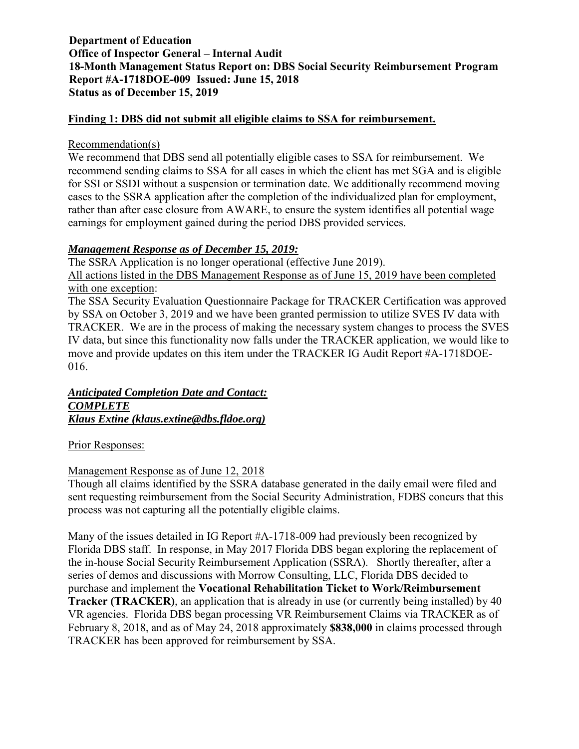#### **Finding 1: DBS did not submit all eligible claims to SSA for reimbursement.**

#### Recommendation(s)

We recommend that DBS send all potentially eligible cases to SSA for reimbursement. We recommend sending claims to SSA for all cases in which the client has met SGA and is eligible for SSI or SSDI without a suspension or termination date. We additionally recommend moving cases to the SSRA application after the completion of the individualized plan for employment, rather than after case closure from AWARE, to ensure the system identifies all potential wage earnings for employment gained during the period DBS provided services.

#### *Management Response as of December 15, 2019:*

The SSRA Application is no longer operational (effective June 2019). All actions listed in the DBS Management Response as of June 15, 2019 have been completed with one exception:

The SSA Security Evaluation Questionnaire Package for TRACKER Certification was approved by SSA on October 3, 2019 and we have been granted permission to utilize SVES IV data with TRACKER. We are in the process of making the necessary system changes to process the SVES IV data, but since this functionality now falls under the TRACKER application, we would like to move and provide updates on this item under the TRACKER IG Audit Report #A-1718DOE-016.

#### *Anticipated Completion Date and Contact: COMPLETE Klaus Extine (klaus.extine@dbs.fldoe.org)*

#### Prior Responses:

#### Management Response as of June 12, 2018

Though all claims identified by the SSRA database generated in the daily email were filed and sent requesting reimbursement from the Social Security Administration, FDBS concurs that this process was not capturing all the potentially eligible claims.

Many of the issues detailed in IG Report #A-1718-009 had previously been recognized by Florida DBS staff. In response, in May 2017 Florida DBS began exploring the replacement of the in-house Social Security Reimbursement Application (SSRA). Shortly thereafter, after a series of demos and discussions with Morrow Consulting, LLC, Florida DBS decided to purchase and implement the **Vocational Rehabilitation Ticket to Work/Reimbursement Tracker (TRACKER)**, an application that is already in use (or currently being installed) by 40 VR agencies. Florida DBS began processing VR Reimbursement Claims via TRACKER as of February 8, 2018, and as of May 24, 2018 approximately **\$838,000** in claims processed through TRACKER has been approved for reimbursement by SSA.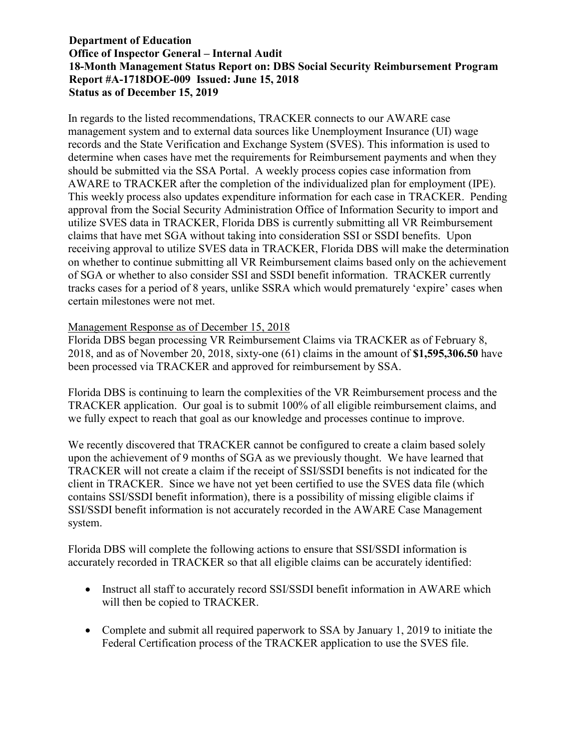In regards to the listed recommendations, TRACKER connects to our AWARE case management system and to external data sources like Unemployment Insurance (UI) wage records and the State Verification and Exchange System (SVES). This information is used to determine when cases have met the requirements for Reimbursement payments and when they should be submitted via the SSA Portal. A weekly process copies case information from AWARE to TRACKER after the completion of the individualized plan for employment (IPE). This weekly process also updates expenditure information for each case in TRACKER. Pending approval from the Social Security Administration Office of Information Security to import and utilize SVES data in TRACKER, Florida DBS is currently submitting all VR Reimbursement claims that have met SGA without taking into consideration SSI or SSDI benefits. Upon receiving approval to utilize SVES data in TRACKER, Florida DBS will make the determination on whether to continue submitting all VR Reimbursement claims based only on the achievement of SGA or whether to also consider SSI and SSDI benefit information. TRACKER currently tracks cases for a period of 8 years, unlike SSRA which would prematurely 'expire' cases when certain milestones were not met.

#### Management Response as of December 15, 2018

Florida DBS began processing VR Reimbursement Claims via TRACKER as of February 8, 2018, and as of November 20, 2018, sixty-one (61) claims in the amount of **\$1,595,306.50** have been processed via TRACKER and approved for reimbursement by SSA.

Florida DBS is continuing to learn the complexities of the VR Reimbursement process and the TRACKER application. Our goal is to submit 100% of all eligible reimbursement claims, and we fully expect to reach that goal as our knowledge and processes continue to improve.

We recently discovered that TRACKER cannot be configured to create a claim based solely upon the achievement of 9 months of SGA as we previously thought. We have learned that TRACKER will not create a claim if the receipt of SSI/SSDI benefits is not indicated for the client in TRACKER. Since we have not yet been certified to use the SVES data file (which contains SSI/SSDI benefit information), there is a possibility of missing eligible claims if SSI/SSDI benefit information is not accurately recorded in the AWARE Case Management system.

Florida DBS will complete the following actions to ensure that SSI/SSDI information is accurately recorded in TRACKER so that all eligible claims can be accurately identified:

- Instruct all staff to accurately record SSI/SSDI benefit information in AWARE which will then be copied to TRACKER.
- Complete and submit all required paperwork to SSA by January 1, 2019 to initiate the Federal Certification process of the TRACKER application to use the SVES file.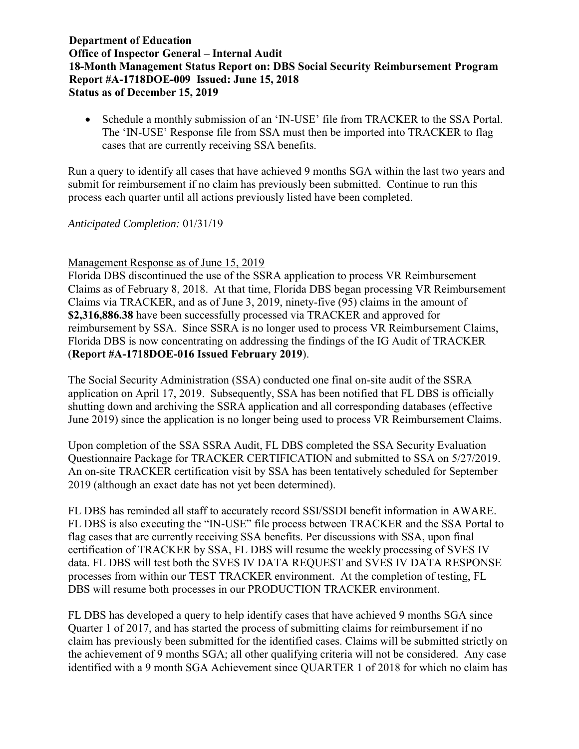Schedule a monthly submission of an 'IN-USE' file from TRACKER to the SSA Portal. The 'IN-USE' Response file from SSA must then be imported into TRACKER to flag cases that are currently receiving SSA benefits.

Run a query to identify all cases that have achieved 9 months SGA within the last two years and submit for reimbursement if no claim has previously been submitted. Continue to run this process each quarter until all actions previously listed have been completed.

#### *Anticipated Completion:* 01/31/19

#### Management Response as of June 15, 2019

Florida DBS discontinued the use of the SSRA application to process VR Reimbursement Claims as of February 8, 2018. At that time, Florida DBS began processing VR Reimbursement Claims via TRACKER, and as of June 3, 2019, ninety-five (95) claims in the amount of **\$2,316,886.38** have been successfully processed via TRACKER and approved for reimbursement by SSA. Since SSRA is no longer used to process VR Reimbursement Claims, Florida DBS is now concentrating on addressing the findings of the IG Audit of TRACKER (**Report #A-1718DOE-016 Issued February 2019**).

The Social Security Administration (SSA) conducted one final on-site audit of the SSRA application on April 17, 2019. Subsequently, SSA has been notified that FL DBS is officially shutting down and archiving the SSRA application and all corresponding databases (effective June 2019) since the application is no longer being used to process VR Reimbursement Claims.

Upon completion of the SSA SSRA Audit, FL DBS completed the SSA Security Evaluation Questionnaire Package for TRACKER CERTIFICATION and submitted to SSA on 5/27/2019. An on-site TRACKER certification visit by SSA has been tentatively scheduled for September 2019 (although an exact date has not yet been determined).

FL DBS has reminded all staff to accurately record SSI/SSDI benefit information in AWARE. FL DBS is also executing the "IN-USE" file process between TRACKER and the SSA Portal to flag cases that are currently receiving SSA benefits. Per discussions with SSA, upon final certification of TRACKER by SSA, FL DBS will resume the weekly processing of SVES IV data. FL DBS will test both the SVES IV DATA REQUEST and SVES IV DATA RESPONSE processes from within our TEST TRACKER environment. At the completion of testing, FL DBS will resume both processes in our PRODUCTION TRACKER environment.

FL DBS has developed a query to help identify cases that have achieved 9 months SGA since Quarter 1 of 2017, and has started the process of submitting claims for reimbursement if no claim has previously been submitted for the identified cases. Claims will be submitted strictly on the achievement of 9 months SGA; all other qualifying criteria will not be considered. Any case identified with a 9 month SGA Achievement since QUARTER 1 of 2018 for which no claim has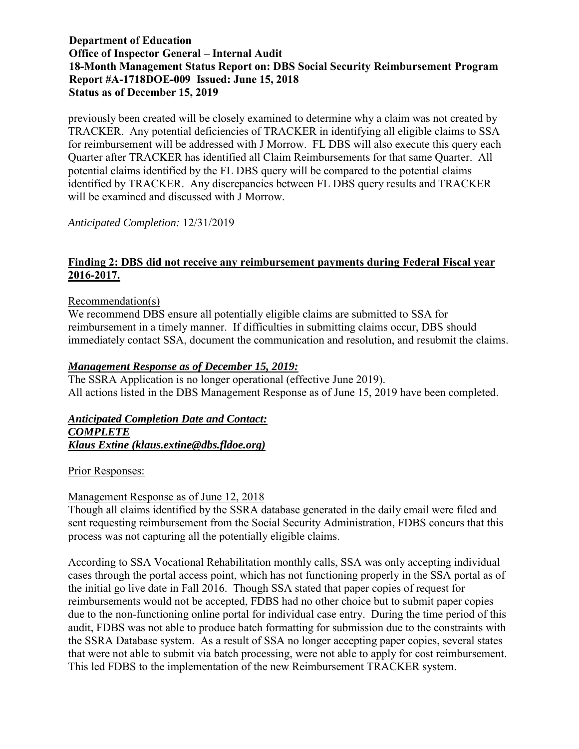previously been created will be closely examined to determine why a claim was not created by TRACKER. Any potential deficiencies of TRACKER in identifying all eligible claims to SSA for reimbursement will be addressed with J Morrow. FL DBS will also execute this query each Quarter after TRACKER has identified all Claim Reimbursements for that same Quarter. All potential claims identified by the FL DBS query will be compared to the potential claims identified by TRACKER. Any discrepancies between FL DBS query results and TRACKER will be examined and discussed with J Morrow.

*Anticipated Completion:* 12/31/2019

### **Finding 2: DBS did not receive any reimbursement payments during Federal Fiscal year 2016-2017.**

#### Recommendation(s)

We recommend DBS ensure all potentially eligible claims are submitted to SSA for reimbursement in a timely manner. If difficulties in submitting claims occur, DBS should immediately contact SSA, document the communication and resolution, and resubmit the claims.

#### *Management Response as of December 15, 2019:*

The SSRA Application is no longer operational (effective June 2019). All actions listed in the DBS Management Response as of June 15, 2019 have been completed.

#### *Anticipated Completion Date and Contact: COMPLETE Klaus Extine (klaus.extine@dbs.fldoe.org)*

Prior Responses:

### Management Response as of June 12, 2018

Though all claims identified by the SSRA database generated in the daily email were filed and sent requesting reimbursement from the Social Security Administration, FDBS concurs that this process was not capturing all the potentially eligible claims.

According to SSA Vocational Rehabilitation monthly calls, SSA was only accepting individual cases through the portal access point, which has not functioning properly in the SSA portal as of the initial go live date in Fall 2016. Though SSA stated that paper copies of request for reimbursements would not be accepted, FDBS had no other choice but to submit paper copies due to the non-functioning online portal for individual case entry. During the time period of this audit, FDBS was not able to produce batch formatting for submission due to the constraints with the SSRA Database system. As a result of SSA no longer accepting paper copies, several states that were not able to submit via batch processing, were not able to apply for cost reimbursement. This led FDBS to the implementation of the new Reimbursement TRACKER system.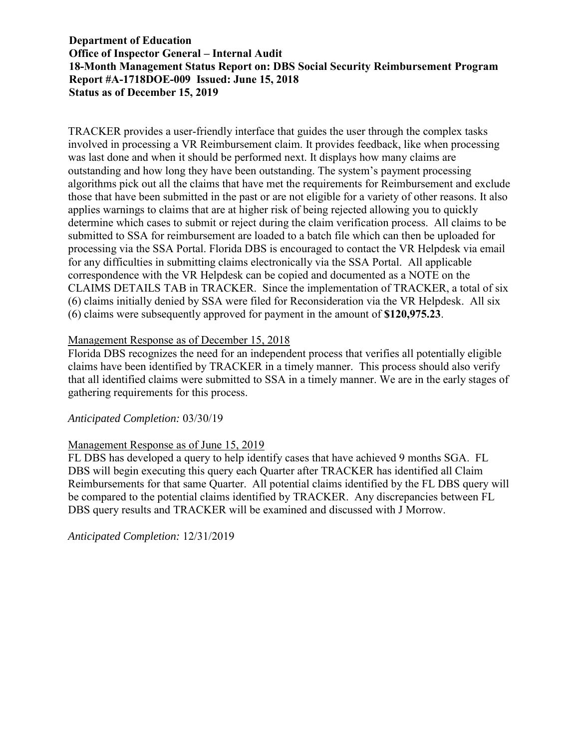TRACKER provides a user-friendly interface that guides the user through the complex tasks involved in processing a VR Reimbursement claim. It provides feedback, like when processing was last done and when it should be performed next. It displays how many claims are outstanding and how long they have been outstanding. The system's payment processing algorithms pick out all the claims that have met the requirements for Reimbursement and exclude those that have been submitted in the past or are not eligible for a variety of other reasons. It also applies warnings to claims that are at higher risk of being rejected allowing you to quickly determine which cases to submit or reject during the claim verification process. All claims to be submitted to SSA for reimbursement are loaded to a batch file which can then be uploaded for processing via the SSA Portal. Florida DBS is encouraged to contact the VR Helpdesk via email for any difficulties in submitting claims electronically via the SSA Portal. All applicable correspondence with the VR Helpdesk can be copied and documented as a NOTE on the CLAIMS DETAILS TAB in TRACKER. Since the implementation of TRACKER, a total of six (6) claims initially denied by SSA were filed for Reconsideration via the VR Helpdesk. All six (6) claims were subsequently approved for payment in the amount of **\$120,975.23**.

#### Management Response as of December 15, 2018

Florida DBS recognizes the need for an independent process that verifies all potentially eligible claims have been identified by TRACKER in a timely manner. This process should also verify that all identified claims were submitted to SSA in a timely manner. We are in the early stages of gathering requirements for this process.

#### *Anticipated Completion:* 03/30/19

#### Management Response as of June 15, 2019

FL DBS has developed a query to help identify cases that have achieved 9 months SGA. FL DBS will begin executing this query each Quarter after TRACKER has identified all Claim Reimbursements for that same Quarter. All potential claims identified by the FL DBS query will be compared to the potential claims identified by TRACKER. Any discrepancies between FL DBS query results and TRACKER will be examined and discussed with J Morrow.

*Anticipated Completion:* 12/31/2019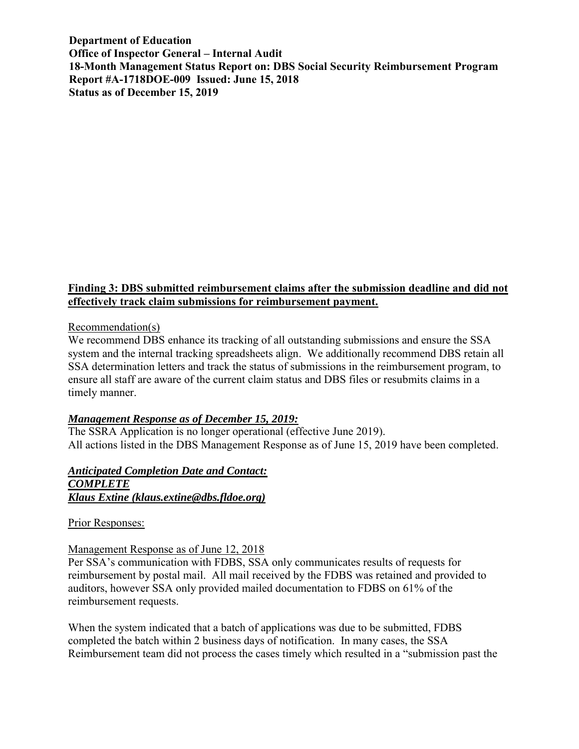### **Finding 3: DBS submitted reimbursement claims after the submission deadline and did not effectively track claim submissions for reimbursement payment.**

#### Recommendation(s)

We recommend DBS enhance its tracking of all outstanding submissions and ensure the SSA system and the internal tracking spreadsheets align. We additionally recommend DBS retain all SSA determination letters and track the status of submissions in the reimbursement program, to ensure all staff are aware of the current claim status and DBS files or resubmits claims in a timely manner.

#### *Management Response as of December 15, 2019:*

The SSRA Application is no longer operational (effective June 2019). All actions listed in the DBS Management Response as of June 15, 2019 have been completed.

#### *Anticipated Completion Date and Contact: COMPLETE Klaus Extine (klaus.extine@dbs.fldoe.org)*

Prior Responses:

#### Management Response as of June 12, 2018

Per SSA's communication with FDBS, SSA only communicates results of requests for reimbursement by postal mail. All mail received by the FDBS was retained and provided to auditors, however SSA only provided mailed documentation to FDBS on 61% of the reimbursement requests.

When the system indicated that a batch of applications was due to be submitted, FDBS completed the batch within 2 business days of notification. In many cases, the SSA Reimbursement team did not process the cases timely which resulted in a "submission past the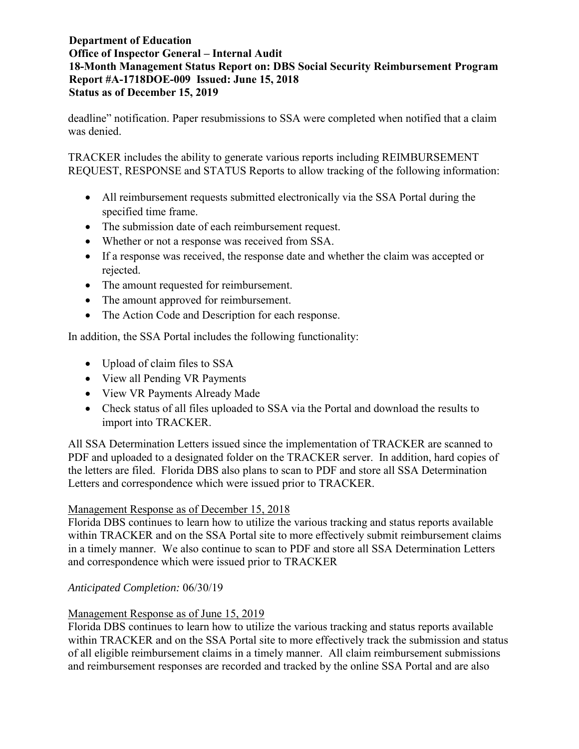deadline" notification. Paper resubmissions to SSA were completed when notified that a claim was denied.

TRACKER includes the ability to generate various reports including REIMBURSEMENT REQUEST, RESPONSE and STATUS Reports to allow tracking of the following information:

- All reimbursement requests submitted electronically via the SSA Portal during the specified time frame.
- The submission date of each reimbursement request.
- Whether or not a response was received from SSA.
- If a response was received, the response date and whether the claim was accepted or rejected.
- The amount requested for reimbursement.
- The amount approved for reimbursement.
- The Action Code and Description for each response.

In addition, the SSA Portal includes the following functionality:

- Upload of claim files to SSA
- View all Pending VR Payments
- View VR Payments Already Made
- Check status of all files uploaded to SSA via the Portal and download the results to import into TRACKER.

All SSA Determination Letters issued since the implementation of TRACKER are scanned to PDF and uploaded to a designated folder on the TRACKER server. In addition, hard copies of the letters are filed. Florida DBS also plans to scan to PDF and store all SSA Determination Letters and correspondence which were issued prior to TRACKER.

# Management Response as of December 15, 2018

Florida DBS continues to learn how to utilize the various tracking and status reports available within TRACKER and on the SSA Portal site to more effectively submit reimbursement claims in a timely manner. We also continue to scan to PDF and store all SSA Determination Letters and correspondence which were issued prior to TRACKER

# *Anticipated Completion:* 06/30/19

# Management Response as of June 15, 2019

Florida DBS continues to learn how to utilize the various tracking and status reports available within TRACKER and on the SSA Portal site to more effectively track the submission and status of all eligible reimbursement claims in a timely manner. All claim reimbursement submissions and reimbursement responses are recorded and tracked by the online SSA Portal and are also